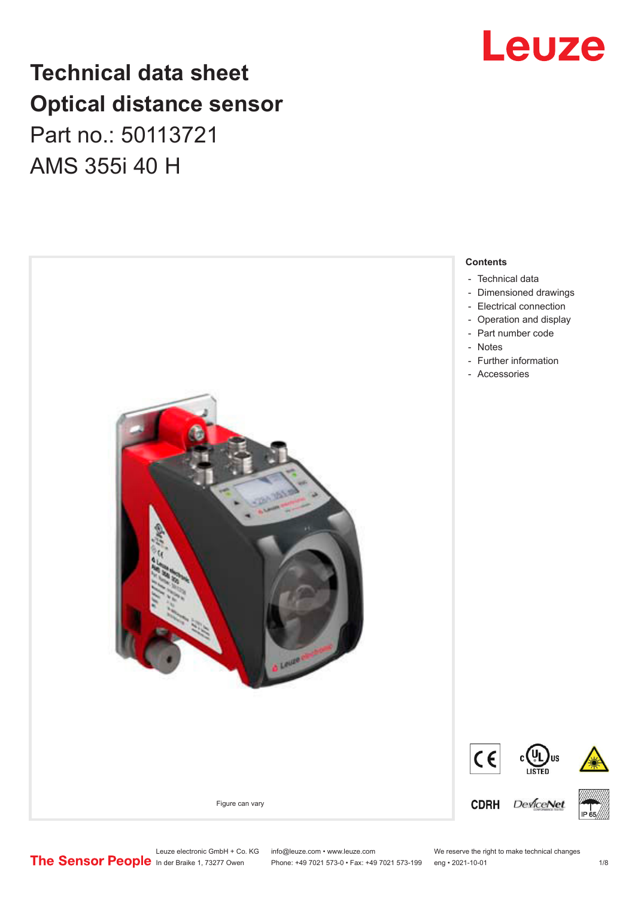## **Technical data sheet Optical distance sensor** Part no.: 50113721 AMS 355i 40 H



Leuze

Leuze electronic GmbH + Co. KG info@leuze.com • www.leuze.com We reserve the right to make technical changes<br>
The Sensor People in der Braike 1, 73277 Owen Phone: +49 7021 573-0 • Fax: +49 7021 573-199 eng • 2021-10-01

Phone: +49 7021 573-0 • Fax: +49 7021 573-199 eng • 2021-10-01 1 2021

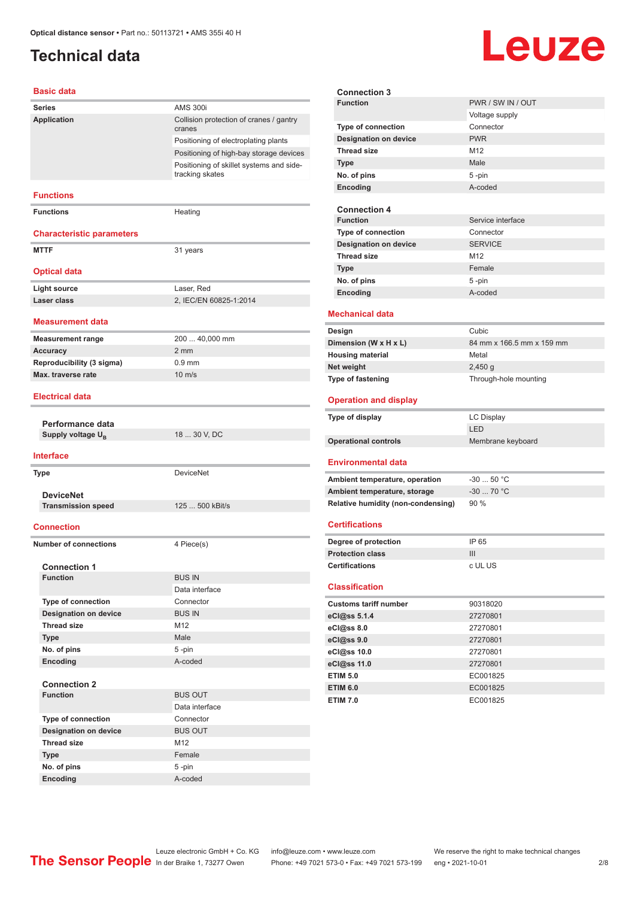## <span id="page-1-0"></span>**Technical data**

# **Leuze**

#### **Basic data**

| Paon, uata                       |                                                             |  |
|----------------------------------|-------------------------------------------------------------|--|
| <b>Series</b>                    | <b>AMS 300i</b>                                             |  |
| Application                      | Collision protection of cranes / gantry<br>cranes           |  |
|                                  | Positioning of electroplating plants                        |  |
|                                  | Positioning of high-bay storage devices                     |  |
|                                  | Positioning of skillet systems and side-<br>tracking skates |  |
| <b>Functions</b>                 |                                                             |  |
| <b>Functions</b>                 | Heating                                                     |  |
| <b>Characteristic parameters</b> |                                                             |  |
| <b>MTTF</b>                      | 31 years                                                    |  |
| <b>Optical data</b>              |                                                             |  |
| <b>Light source</b>              | Laser, Red                                                  |  |
| Laser class                      | 2, IEC/EN 60825-1:2014                                      |  |
| <b>Measurement data</b>          |                                                             |  |
| <b>Measurement range</b>         | 200  40,000 mm                                              |  |
| <b>Accuracy</b>                  | 2 mm                                                        |  |
| Reproducibility (3 sigma)        | $0.9$ mm                                                    |  |
| Max. traverse rate               | $10 \text{ m/s}$                                            |  |
| <b>Electrical data</b>           |                                                             |  |
|                                  |                                                             |  |
| Performance data                 |                                                             |  |
|                                  |                                                             |  |
| Supply voltage U <sub>R</sub>    | 18  30 V, DC                                                |  |
| <b>Interface</b>                 |                                                             |  |
| <b>Type</b>                      | <b>DeviceNet</b>                                            |  |
|                                  |                                                             |  |
| <b>DeviceNet</b>                 |                                                             |  |
| <b>Transmission speed</b>        | 125  500 kBit/s                                             |  |
| <b>Connection</b>                |                                                             |  |
| <b>Number of connections</b>     | 4 Piece(s)                                                  |  |
|                                  |                                                             |  |
| <b>Connection 1</b>              |                                                             |  |
| <b>Function</b>                  | <b>BUS IN</b>                                               |  |
|                                  | Data interface                                              |  |
| Type of connection               | Connector                                                   |  |
| <b>Designation on device</b>     | <b>BUS IN</b>                                               |  |
| <b>Thread size</b>               | M12                                                         |  |
| <b>Type</b>                      | Male                                                        |  |
| No. of pins                      | 5-pin                                                       |  |
| Encoding                         | A-coded                                                     |  |
| <b>Connection 2</b>              |                                                             |  |
| <b>Function</b>                  | <b>BUS OUT</b>                                              |  |
|                                  | Data interface                                              |  |
| <b>Type of connection</b>        | Connector                                                   |  |
| <b>Designation on device</b>     | <b>BUS OUT</b>                                              |  |
| <b>Thread size</b>               | M12                                                         |  |
| <b>Type</b>                      | Female                                                      |  |
| No. of pins                      | 5-pin                                                       |  |

| <b>Connection 3</b>                             |                           |  |
|-------------------------------------------------|---------------------------|--|
| <b>Function</b>                                 | PWR / SW IN / OUT         |  |
|                                                 | Voltage supply            |  |
| <b>Type of connection</b>                       | Connector                 |  |
| <b>Designation on device</b>                    | <b>PWR</b>                |  |
| <b>Thread size</b>                              | M12                       |  |
| Type                                            | Male                      |  |
| No. of pins                                     | 5-pin                     |  |
| Encoding                                        | A-coded                   |  |
|                                                 |                           |  |
| <b>Connection 4</b>                             |                           |  |
| <b>Function</b>                                 | Service interface         |  |
| <b>Type of connection</b>                       | Connector                 |  |
| <b>Designation on device</b>                    | <b>SERVICE</b>            |  |
| <b>Thread size</b>                              | M12                       |  |
| Type                                            | Female                    |  |
| No. of pins                                     | 5-pin                     |  |
| <b>Encoding</b>                                 | A-coded                   |  |
|                                                 |                           |  |
| <b>Mechanical data</b>                          |                           |  |
|                                                 | Cubic                     |  |
| Design                                          | 84 mm x 166.5 mm x 159 mm |  |
| Dimension (W x H x L)                           |                           |  |
| <b>Housing material</b>                         | Metal                     |  |
| Net weight                                      | $2,450$ g                 |  |
| <b>Type of fastening</b>                        | Through-hole mounting     |  |
| <b>Operation and display</b>                    |                           |  |
|                                                 |                           |  |
|                                                 |                           |  |
| Type of display                                 | <b>LC Display</b>         |  |
|                                                 | LED                       |  |
| <b>Operational controls</b>                     | Membrane keyboard         |  |
|                                                 |                           |  |
| <b>Environmental data</b>                       |                           |  |
| Ambient temperature, operation                  | $-3050 °C$                |  |
| Ambient temperature, storage                    | $-30$ 70 °C               |  |
| <b>Relative humidity (non-condensing)</b>       | 90%                       |  |
|                                                 |                           |  |
| <b>Certifications</b>                           |                           |  |
|                                                 | IP 65                     |  |
| Degree of protection<br><b>Protection class</b> | Ш                         |  |
| <b>Certifications</b>                           | c UL US                   |  |
|                                                 |                           |  |
| <b>Classification</b>                           |                           |  |
|                                                 |                           |  |
| <b>Customs tariff number</b>                    | 90318020                  |  |
| eCl@ss 5.1.4                                    | 27270801                  |  |
| eCl@ss 8.0                                      | 27270801                  |  |
| eCl@ss 9.0                                      | 27270801                  |  |
| eCl@ss 10.0                                     | 27270801                  |  |
| eCl@ss 11.0                                     | 27270801                  |  |
| <b>ETIM 5.0</b>                                 | EC001825                  |  |
| <b>ETIM 6.0</b>                                 | EC001825                  |  |
| <b>ETIM 7.0</b>                                 | EC001825                  |  |

Leuze electronic GmbH + Co. KG info@leuze.com • www.leuze.com We reserve the right to make technical changes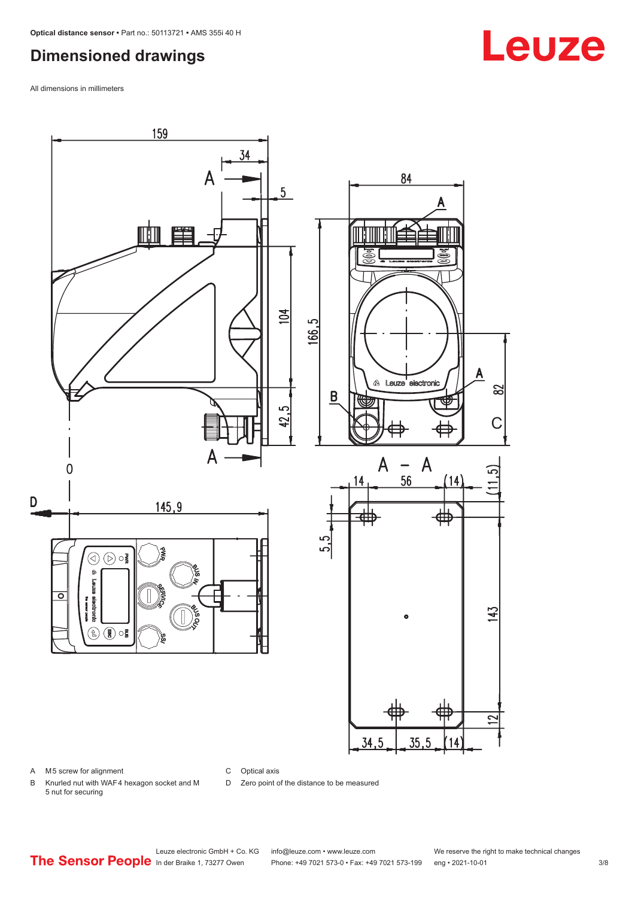## <span id="page-2-0"></span>**Dimensioned drawings**

All dimensions in millimeters



A M5 screw for alignment

C Optical axis

D Zero point of the distance to be measured

B Knurled nut with WAF 4 hexagon socket and M 5 nut for securing

## **Leuze**

Leuze electronic GmbH + Co. KG info@leuze.com • www.leuze.com We reserve the right to make technical changes<br>
The Sensor People in der Braike 1, 73277 Owen Phone: +49 7021 573-0 • Fax: +49 7021 573-199 eng • 2021-10-01

Phone: +49 7021 573-0 • Fax: +49 7021 573-199 eng • 2021-10-01 3/8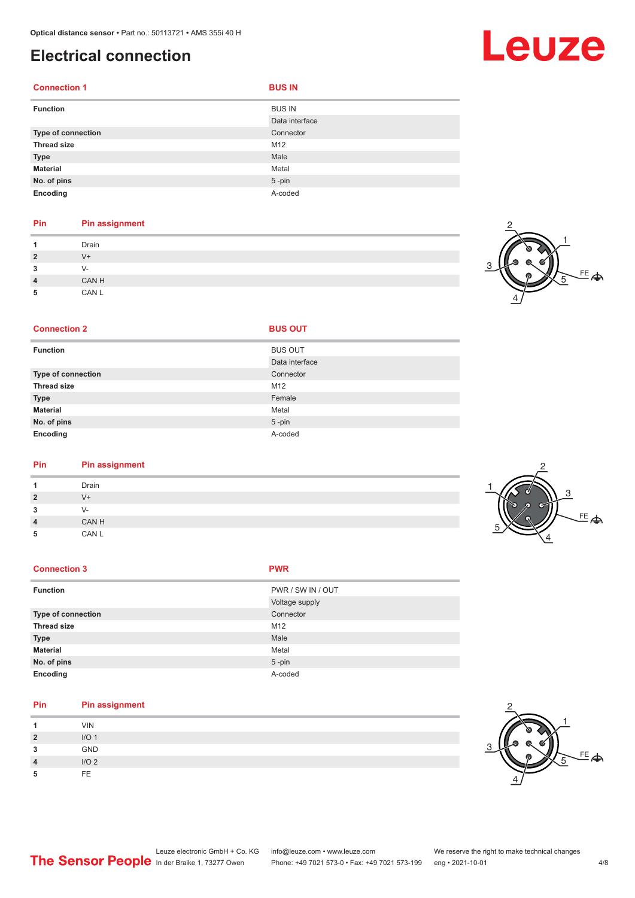## <span id="page-3-0"></span>**Electrical connection**

| <b>Connection 1</b> | <b>BUS IN</b>  |
|---------------------|----------------|
| <b>Function</b>     | <b>BUS IN</b>  |
|                     | Data interface |
| Type of connection  | Connector      |
| <b>Thread size</b>  | M12            |
| <b>Type</b>         | Male           |
| <b>Material</b>     | Metal          |
| No. of pins         | $5 - pin$      |
| Encoding            | A-coded        |

### **Pin Pin assignment**

|                | Drain |
|----------------|-------|
| $\overline{2}$ | V+    |
| 3              | V-    |
| $\overline{4}$ | CAN H |
| 5              | CAN L |

#### **Connection 2 BUS OUT**

| <b>Function</b>    | <b>BUS OUT</b> |
|--------------------|----------------|
|                    | Data interface |
| Type of connection | Connector      |
| <b>Thread size</b> | M12            |
| <b>Type</b>        | Female         |
| <b>Material</b>    | Metal          |
| No. of pins        | $5 - pin$      |
| Encoding           | A-coded        |

## **Pin Pin assignment**

|              | Drain        |  |
|--------------|--------------|--|
| ຳ            | $V +$        |  |
| -<br>$\cdot$ | $\mathbf{v}$ |  |
|              | CAN H        |  |
| 5            | CAN L        |  |
|              |              |  |

#### **Connection 3 PWR**

| <b>Function</b>    | PWR / SW IN / OUT |
|--------------------|-------------------|
|                    | Voltage supply    |
| Type of connection | Connector         |
| <b>Thread size</b> | M12               |
| <b>Type</b>        | Male              |
| <b>Material</b>    | Metal             |
| No. of pins        | $5$ -pin          |
| Encoding           | A-coded           |
|                    |                   |

#### **Pin Pin assignment**

|                | <b>VIN</b>       |  |
|----------------|------------------|--|
| $\overline{2}$ | I/O <sub>1</sub> |  |
| 3              | GND              |  |
| 4              | I/O2             |  |
| 5              | FF.              |  |



## Leuze

|                                                      | Leuze electronic GmbH + Co. KG | info@leuze.com • www.leuze.com                                 | We reserve the right to make technical changes |
|------------------------------------------------------|--------------------------------|----------------------------------------------------------------|------------------------------------------------|
| <b>The Sensor People</b> In der Braike 1, 73277 Owen |                                | Phone: +49 7021 573-0 • Fax: +49 7021 573-199 eng • 2021-10-01 |                                                |



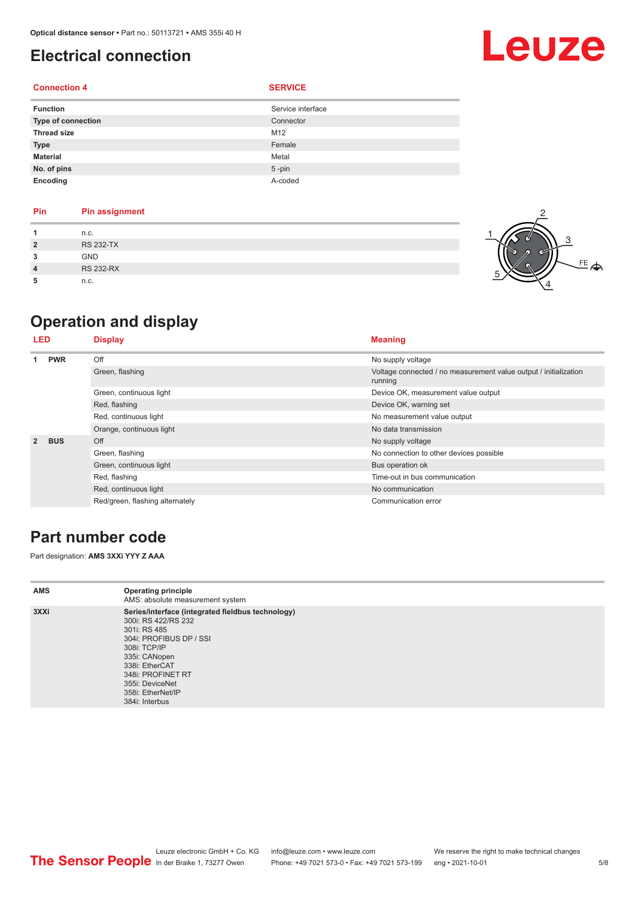## <span id="page-4-0"></span>**Electrical connection**

#### **Connection 4 SERVICE**

| <b>Function</b>    | Service interface |
|--------------------|-------------------|
| Type of connection | Connector         |
| <b>Thread size</b> | M12               |
| <b>Type</b>        | Female            |
| <b>Material</b>    | Metal             |
| No. of pins        | $5 - pin$         |
| Encoding           | A-coded           |

| Pin            | <b>Pin assignment</b> |
|----------------|-----------------------|
| 1              | n.c.                  |
| $\overline{2}$ | <b>RS 232-TX</b>      |
| 3              | <b>GND</b>            |
| 4              | <b>RS 232-RX</b>      |
|                |                       |

**5** n.c.

## **Operation and display**

| LED            |            | <b>Display</b>                  | <b>Meaning</b>                                                              |  |
|----------------|------------|---------------------------------|-----------------------------------------------------------------------------|--|
| <b>PWR</b>     |            | Off                             | No supply voltage                                                           |  |
|                |            | Green, flashing                 | Voltage connected / no measurement value output / initialization<br>running |  |
|                |            | Green, continuous light         | Device OK, measurement value output                                         |  |
|                |            | Red, flashing                   | Device OK, warning set                                                      |  |
|                |            | Red, continuous light           | No measurement value output                                                 |  |
|                |            | Orange, continuous light        | No data transmission                                                        |  |
| $\overline{2}$ | <b>BUS</b> | Off                             | No supply voltage                                                           |  |
|                |            | Green, flashing                 | No connection to other devices possible                                     |  |
|                |            | Green, continuous light         | Bus operation ok                                                            |  |
|                |            | Red, flashing                   | Time-out in bus communication                                               |  |
|                |            | Red, continuous light           | No communication                                                            |  |
|                |            | Red/green, flashing alternately | Communication error                                                         |  |

## **Part number code**

Part designation: **AMS 3XXi YYY Z AAA**

| AMS  | <b>Operating principle</b><br>AMS: absolute measurement system                                                                                                                                                                                        |
|------|-------------------------------------------------------------------------------------------------------------------------------------------------------------------------------------------------------------------------------------------------------|
| 3XXi | Series/interface (integrated fieldbus technology)<br>300i: RS 422/RS 232<br>301i: RS 485<br>304i: PROFIBUS DP / SSI<br>308i: TCP/IP<br>335i: CANopen<br>338i: EtherCAT<br>348i: PROFINET RT<br>355i: DeviceNet<br>358i: EtherNet/IP<br>384i: Interbus |



Leuze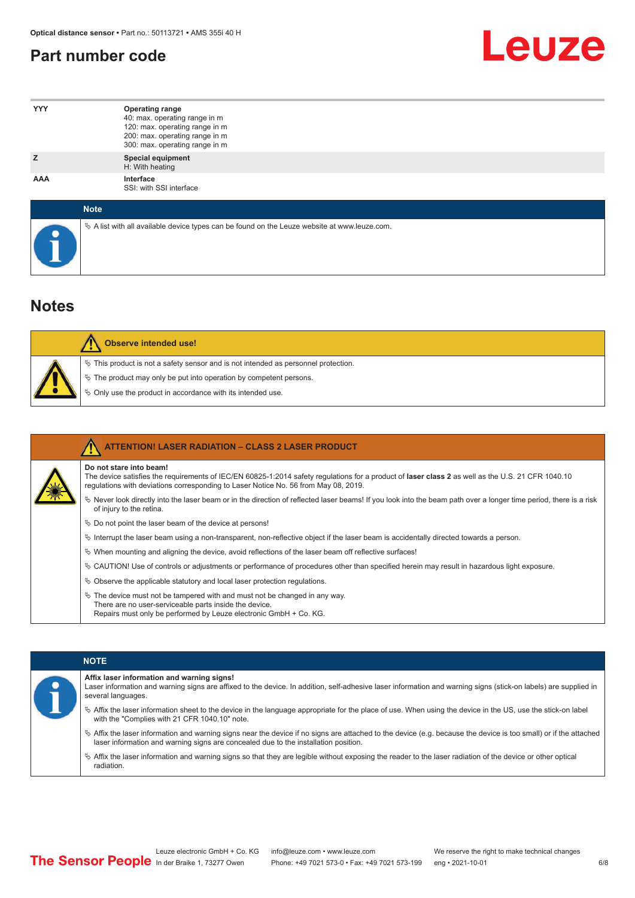## <span id="page-5-0"></span>**Part number code**



| <b>YYY</b>  | <b>Operating range</b><br>40: max. operating range in m<br>120: max. operating range in m<br>200: max. operating range in m<br>300: max. operating range in m |
|-------------|---------------------------------------------------------------------------------------------------------------------------------------------------------------|
| z           | <b>Special equipment</b><br>H: With heating                                                                                                                   |
| <b>AAA</b>  | Interface<br>SSI: with SSI interface                                                                                                                          |
| <b>Note</b> |                                                                                                                                                               |

 $\%$  A list with all available device types can be found on the Leuze website at www.leuze.com.

## **Notes**

| Observe intended use!                                                                                                                                                                                                      |
|----------------------------------------------------------------------------------------------------------------------------------------------------------------------------------------------------------------------------|
| $\%$ This product is not a safety sensor and is not intended as personnel protection.<br>₹ The product may only be put into operation by competent persons.<br>♦ Only use the product in accordance with its intended use. |

|  | <b>ATTENTION! LASER RADIATION - CLASS 2 LASER PRODUCT</b>                                                                                                                                                                                                           |
|--|---------------------------------------------------------------------------------------------------------------------------------------------------------------------------------------------------------------------------------------------------------------------|
|  | Do not stare into beam!<br>The device satisfies the requirements of IEC/EN 60825-1:2014 safety regulations for a product of laser class 2 as well as the U.S. 21 CFR 1040.10<br>requlations with deviations corresponding to Laser Notice No. 56 from May 08, 2019. |
|  | Never look directly into the laser beam or in the direction of reflected laser beams! If you look into the beam path over a longer time period, there is a risk<br>of injury to the retina.                                                                         |
|  | $\%$ Do not point the laser beam of the device at persons!                                                                                                                                                                                                          |
|  | Interrupt the laser beam using a non-transparent, non-reflective object if the laser beam is accidentally directed towards a person.                                                                                                                                |
|  | $\%$ When mounting and aligning the device, avoid reflections of the laser beam off reflective surfaces!                                                                                                                                                            |
|  | $\&$ CAUTION! Use of controls or adjustments or performance of procedures other than specified herein may result in hazardous light exposure.                                                                                                                       |
|  | $\&$ Observe the applicable statutory and local laser protection regulations.                                                                                                                                                                                       |
|  | $\ddot{\varphi}$ The device must not be tampered with and must not be changed in any way.<br>There are no user-serviceable parts inside the device.<br>Repairs must only be performed by Leuze electronic GmbH + Co. KG.                                            |

| <b>NOTE</b>                                                                                                                                                                                                                                                |
|------------------------------------------------------------------------------------------------------------------------------------------------------------------------------------------------------------------------------------------------------------|
| Affix laser information and warning signs!<br>Laser information and warning signs are affixed to the device. In addition, self-adhesive laser information and warning signs (stick-on labels) are supplied in<br>several languages.                        |
| $\%$ Affix the laser information sheet to the device in the language appropriate for the place of use. When using the device in the US, use the stick-on label<br>with the "Complies with 21 CFR 1040.10" note.                                            |
| $\%$ Affix the laser information and warning signs near the device if no signs are attached to the device (e.g. because the device is too small) or if the attached<br>laser information and warning signs are concealed due to the installation position. |
| $\%$ Affix the laser information and warning signs so that they are legible without exposing the reader to the laser radiation of the device or other optical<br>radiation.                                                                                |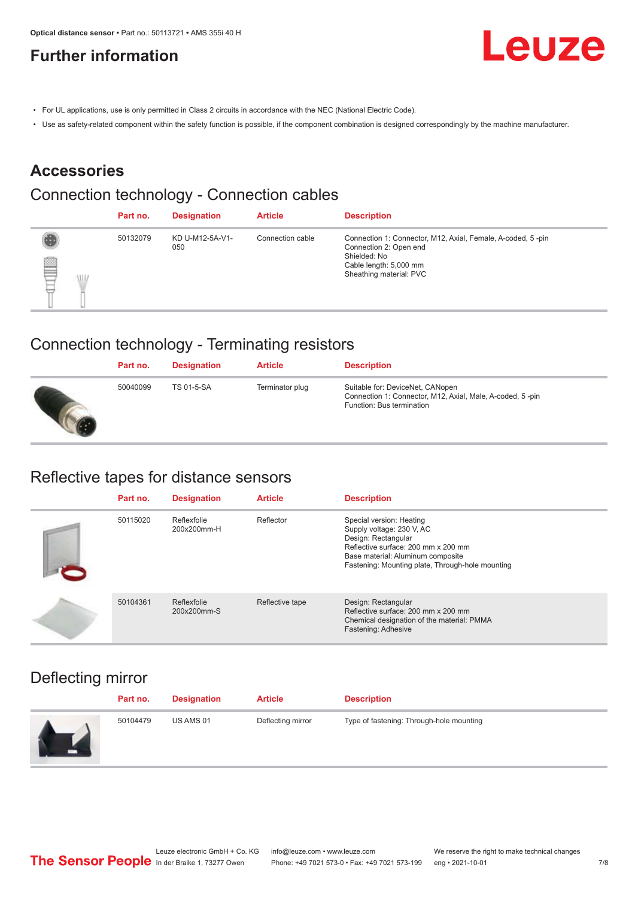## <span id="page-6-0"></span>**Further information**



- For UL applications, use is only permitted in Class 2 circuits in accordance with the NEC (National Electric Code).
- Use as safety-related component within the safety function is possible, if the component combination is designed correspondingly by the machine manufacturer.

## **Accessories**

## Connection technology - Connection cables

|        | Part no. | <b>Designation</b>     | <b>Article</b>   | <b>Description</b>                                                                                                                                         |
|--------|----------|------------------------|------------------|------------------------------------------------------------------------------------------------------------------------------------------------------------|
| ₽<br>W | 50132079 | KD U-M12-5A-V1-<br>050 | Connection cable | Connection 1: Connector, M12, Axial, Female, A-coded, 5-pin<br>Connection 2: Open end<br>Shielded: No<br>Cable length: 5,000 mm<br>Sheathing material: PVC |

## Connection technology - Terminating resistors

| Part no. | <b>Designation</b> | <b>Article</b>  | <b>Description</b>                                                                                                         |
|----------|--------------------|-----------------|----------------------------------------------------------------------------------------------------------------------------|
| 50040099 | TS 01-5-SA         | Terminator plug | Suitable for: DeviceNet, CANopen<br>Connection 1: Connector, M12, Axial, Male, A-coded, 5-pin<br>Function: Bus termination |

### Reflective tapes for distance sensors

| Part no. | <b>Designation</b>         | <b>Article</b>  | <b>Description</b>                                                                                                                                                                                           |
|----------|----------------------------|-----------------|--------------------------------------------------------------------------------------------------------------------------------------------------------------------------------------------------------------|
| 50115020 | Reflexfolie<br>200x200mm-H | Reflector       | Special version: Heating<br>Supply voltage: 230 V, AC<br>Design: Rectangular<br>Reflective surface: 200 mm x 200 mm<br>Base material: Aluminum composite<br>Fastening: Mounting plate, Through-hole mounting |
| 50104361 | Reflexfolie<br>200x200mm-S | Reflective tape | Design: Rectangular<br>Reflective surface: 200 mm x 200 mm<br>Chemical designation of the material: PMMA<br>Fastening: Adhesive                                                                              |

## Deflecting mirror

| Part no. | <b>Designation</b> | <b>Article</b>    | <b>Description</b>                       |
|----------|--------------------|-------------------|------------------------------------------|
| 50104479 | US AMS 01          | Deflecting mirror | Type of fastening: Through-hole mounting |